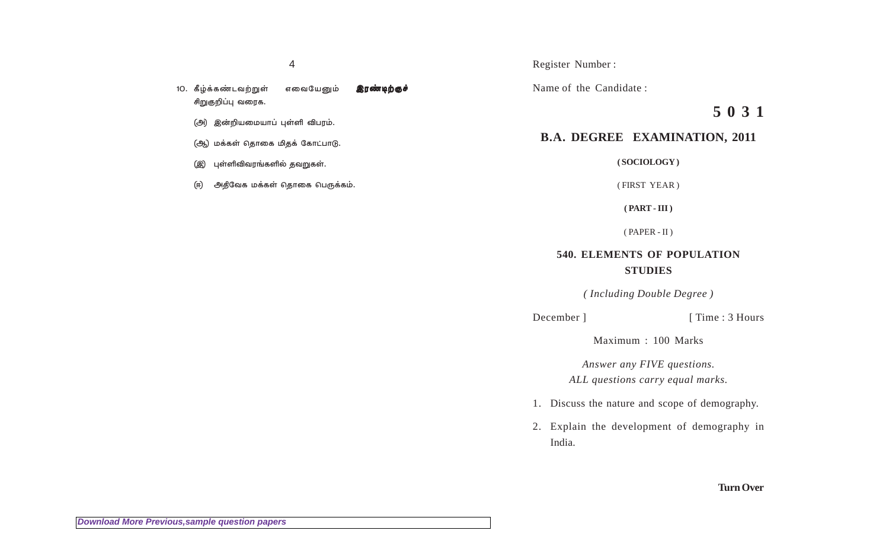10. கீழ்க்கண்டவற்றுள் எவையேனும் இ**ரண்டிற்குச்** சிறுகுறிப்பு வரைக.

- (அ) இன்றியமையாப் புள்ளி விபரம்.
- (ஆ) மக்கள் தொகை மிதக் கோட்பாடு.
- $($ இ $)$  புள்ளிவிவரங்களில் தவறுகள்.
- (ஈ) அதிவேக மக்கள் தொகை பெருக்கம்.

Register Number :

Name of the Candidate :

**5 0 3 1**

## **B.A. DEGREE EXAMINATION, 2011**

**( SOCIOLOGY )**

( FIRST YEAR )

**( PART - III )**

( PAPER - II )

## **540. ELEMENTS OF POPULATION STUDIES**

*( Including Double Degree )*

December ] [ Time : 3 Hours

Maximum : 100 Marks

*Answer any FIVE questions. ALL questions carry equal marks.*

- 1. Discuss the nature and scope of demography.
- 2. Explain the development of demography in India.

**Turn Over**